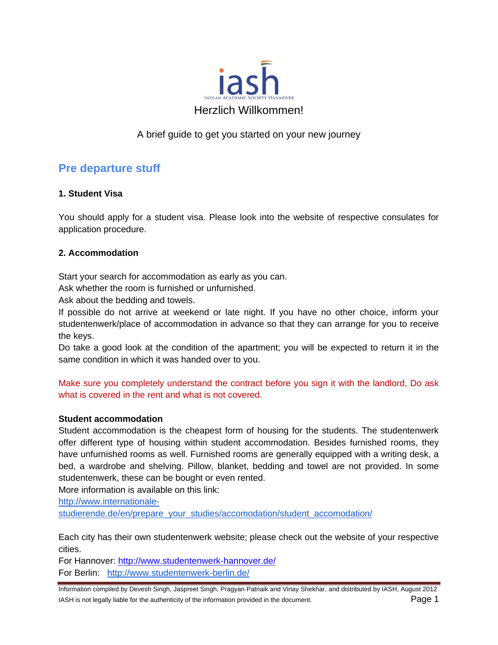

## A brief guide to get you started on your new journey

## **Pre departure stuff**

## **1. Student Visa**

You should apply for a student visa. Please look into the website of respective consulates for application procedure.

#### **2. Accommodation**

Start your search for accommodation as early as you can.

Ask whether the room is furnished or unfurnished.

Ask about the bedding and towels.

If possible do not arrive at weekend or late night. If you have no other choice, inform your studentenwerk/place of accommodation in advance so that they can arrange for you to receive the keys.

Do take a good look at the condition of the apartment; you will be expected to return it in the same condition in which it was handed over to you.

Make sure you completely understand the contract before you sign it with the landlord, Do ask what is covered in the rent and what is not covered.

#### **Student accommodation**

Student accommodation is the cheapest form of housing for the students. The studentenwerk offer different type of housing within student accommodation. Besides furnished rooms, they have unfurnished rooms as well. Furnished rooms are generally equipped with a writing desk, a bed, a wardrobe and shelving. Pillow, blanket, bedding and towel are not provided. In some studentenwerk, these can be bought or even rented.

More information is available on this link:

[http://www.internationale-](http://www.internationale-studierende.de/en/prepare_your_studies/accomodation/student_accomodation/)

[studierende.de/en/prepare\\_your\\_studies/accomodation/student\\_accomodation/](http://www.internationale-studierende.de/en/prepare_your_studies/accomodation/student_accomodation/)

Each city has their own studentenwerk website; please check out the website of your respective cities.

For Hannover:<http://www.studentenwerk-hannover.de/>

For Berlin: <http://www.studentenwerk-berlin.de/>

Information compiled by Devesh Singh, Jaspreet Singh, Pragyan Patnaik and Vinay Shekhar, and distributed by IASH, August 2012 IASH is not legally liable for the authenticity of the information provided in the document. Page 1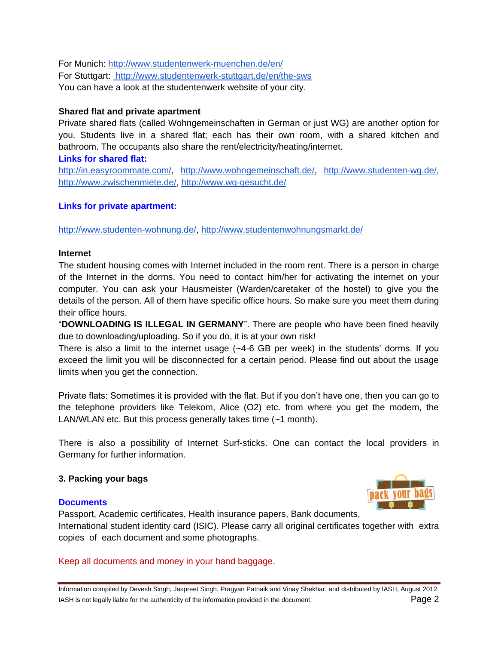For Munich:<http://www.studentenwerk-muenchen.de/en/> For Stuttgart:<http://www.studentenwerk-stuttgart.de/en/the-sws> You can have a look at the studentenwerk website of your city.

## **Shared flat and private apartment**

Private shared flats (called Wohngemeinschaften in German or just WG) are another option for you. Students live in a shared flat; each has their own room, with a shared kitchen and bathroom. The occupants also share the rent/electricity/heating/internet.

#### **Links for shared flat:**

[http://in.easyroommate.com/,](http://in.easyroommate.com/) [http://www.wohngemeinschaft.de/,](http://www.wohngemeinschaft.de/) [http://www.studenten-wg.de/,](http://www.studenten-wg.de/) [http://www.zwischenmiete.de/,](http://www.zwischenmiete.de/)<http://www.wg-gesucht.de/>

## **Links for private apartment:**

[http://www.studenten-wohnung.de/,](http://www.studenten-wohnung.de/)<http://www.studentenwohnungsmarkt.de/>

#### **Internet**

The student housing comes with Internet included in the room rent. There is a person in charge of the Internet in the dorms. You need to contact him/her for activating the internet on your computer. You can ask your Hausmeister (Warden/caretaker of the hostel) to give you the details of the person. All of them have specific office hours. So make sure you meet them during their office hours.

"**DOWNLOADING IS ILLEGAL IN GERMANY**". There are people who have been fined heavily due to downloading/uploading. So if you do, it is at your own risk!

There is also a limit to the internet usage (~4-6 GB per week) in the students' dorms. If you exceed the limit you will be disconnected for a certain period. Please find out about the usage limits when you get the connection.

Private flats: Sometimes it is provided with the flat. But if you don't have one, then you can go to the telephone providers like Telekom, Alice (O2) etc. from where you get the modem, the LAN/WLAN etc. But this process generally takes time (~1 month).

There is also a possibility of Internet Surf-sticks. One can contact the local providers in Germany for further information.

## **3. Packing your bags**

#### **Documents**



Passport, Academic certificates, Health insurance papers, Bank documents, International student identity card (ISIC). Please carry all original certificates together with extra

Keep all documents and money in your hand baggage.

copies of each document and some photographs.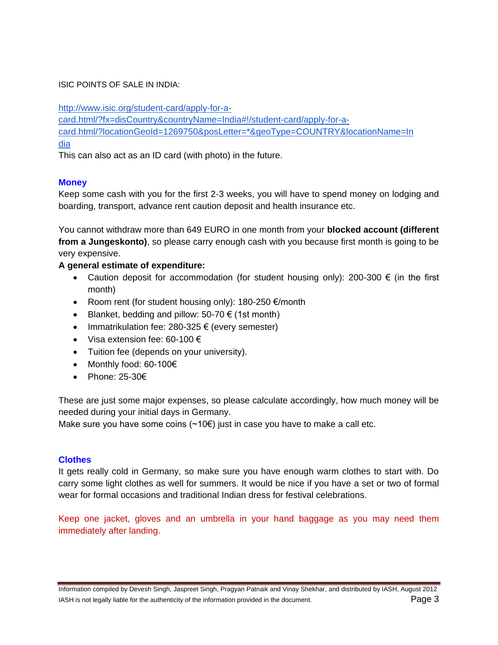#### ISIC POINTS OF SALE IN INDIA:

[http://www.isic.org/student-card/apply-for-a-](http://www.isic.org/student-card/apply-for-a-card.html/?fx=disCountry&countryName=India#!/student-card/apply-for-a-card.html/?locationGeoId=1269750&posLetter=*&geoType=COUNTRY&locationName=India)

[card.html/?fx=disCountry&countryName=India#!/student-card/apply-for-a-](http://www.isic.org/student-card/apply-for-a-card.html/?fx=disCountry&countryName=India#!/student-card/apply-for-a-card.html/?locationGeoId=1269750&posLetter=*&geoType=COUNTRY&locationName=India)

[card.html/?locationGeoId=1269750&posLetter=\\*&geoType=COUNTRY&locationName=In](http://www.isic.org/student-card/apply-for-a-card.html/?fx=disCountry&countryName=India#!/student-card/apply-for-a-card.html/?locationGeoId=1269750&posLetter=*&geoType=COUNTRY&locationName=India) [dia](http://www.isic.org/student-card/apply-for-a-card.html/?fx=disCountry&countryName=India#!/student-card/apply-for-a-card.html/?locationGeoId=1269750&posLetter=*&geoType=COUNTRY&locationName=India)

This can also act as an ID card (with photo) in the future.

## **Money**

Keep some cash with you for the first 2-3 weeks, you will have to spend money on lodging and boarding, transport, advance rent caution deposit and health insurance etc.

You cannot withdraw more than 649 EURO in one month from your **blocked account (different from a Jungeskonto)**, so please carry enough cash with you because first month is going to be very expensive.

## **A general estimate of expenditure:**

- Caution deposit for accommodation (for student housing only): 200-300 € (in the first month)
- Room rent (for student housing only): 180-250 €/month
- Blanket, bedding and pillow:  $50-70 \in (1st \text{ month})$
- Immatrikulation fee: 280-325  $\epsilon$  (every semester)
- Visa extension fee: 60-100  $\epsilon$
- Tuition fee (depends on your university).
- Monthly food: 60-100€
- Phone: 25-30€

These are just some major expenses, so please calculate accordingly, how much money will be needed during your initial days in Germany.

Make sure you have some coins  $(\sim 10 \epsilon)$  just in case you have to make a call etc.

## **Clothes**

It gets really cold in Germany, so make sure you have enough warm clothes to start with. Do carry some light clothes as well for summers. It would be nice if you have a set or two of formal wear for formal occasions and traditional Indian dress for festival celebrations.

Keep one jacket, gloves and an umbrella in your hand baggage as you may need them immediately after landing.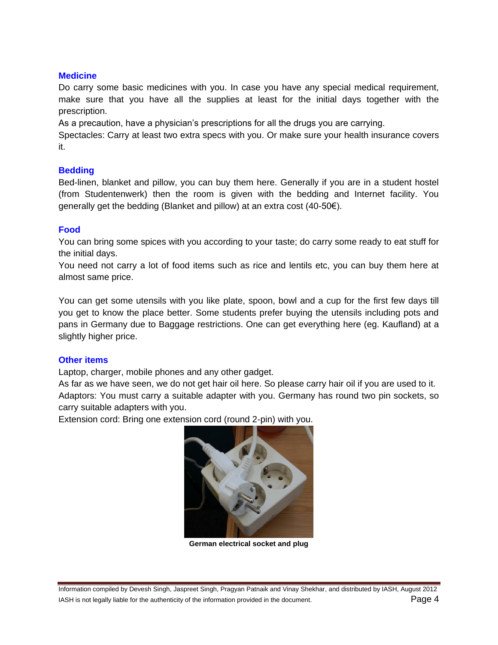#### **Medicine**

Do carry some basic medicines with you. In case you have any special medical requirement, make sure that you have all the supplies at least for the initial days together with the prescription.

As a precaution, have a physician's prescriptions for all the drugs you are carrying.

Spectacles: Carry at least two extra specs with you. Or make sure your health insurance covers it.

## **Bedding**

Bed-linen, blanket and pillow, you can buy them here. Generally if you are in a student hostel (from Studentenwerk) then the room is given with the bedding and Internet facility. You generally get the bedding (Blanket and pillow) at an extra cost (40-50€).

## **Food**

You can bring some spices with you according to your taste; do carry some ready to eat stuff for the initial days.

You need not carry a lot of food items such as rice and lentils etc, you can buy them here at almost same price.

You can get some utensils with you like plate, spoon, bowl and a cup for the first few days till you get to know the place better. Some students prefer buying the utensils including pots and pans in Germany due to Baggage restrictions. One can get everything here (eg. Kaufland) at a slightly higher price.

#### **Other items**

Laptop, charger, mobile phones and any other gadget.

As far as we have seen, we do not get hair oil here. So please carry hair oil if you are used to it. Adaptors: You must carry a suitable adapter with you. Germany has round two pin sockets, so carry suitable adapters with you.

Extension cord: Bring one extension cord (round 2-pin) with you.



**German electrical socket and plug**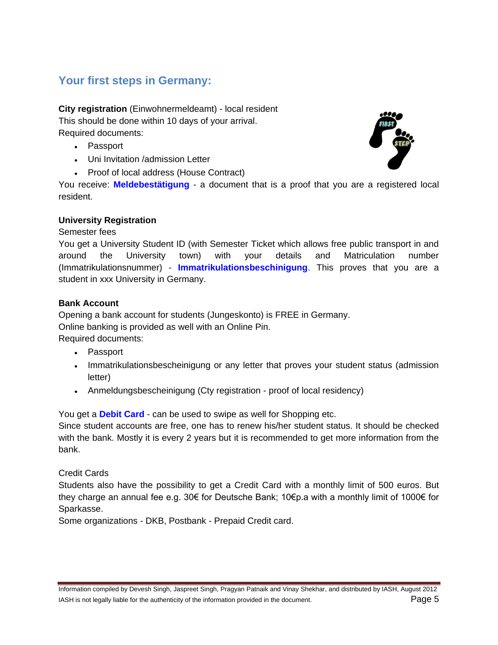# **Your first steps in Germany:**

**City registration** (Einwohnermeldeamt) - local resident This should be done within 10 days of your arrival. Required documents:

- Passport
- Uni Invitation /admission Letter
- Proof of local address (House Contract)

You receive: **Meldebestätigung** - a document that is a proof that you are a registered local resident.

## **University Registration**

#### Semester fees

You get a University Student ID (with Semester Ticket which allows free public transport in and around the University town) with your details and Matriculation number (Immatrikulationsnummer) - **Immatrikulationsbeschinigung**. This proves that you are a student in xxx University in Germany.

## **Bank Account**

Opening a bank account for students (Jungeskonto) is FREE in Germany. Online banking is provided as well with an Online Pin. Required documents:

- Passport
- Immatrikulationsbescheinigung or any letter that proves your student status (admission letter)
- Anmeldungsbescheinigung (Cty registration proof of local residency)

You get a **Debit Card** - can be used to swipe as well for Shopping etc.

Since student accounts are free, one has to renew his/her student status. It should be checked with the bank. Mostly it is every 2 years but it is recommended to get more information from the bank.

Credit Cards

Students also have the possibility to get a Credit Card with a monthly limit of 500 euros. But they charge an annual fee e.g. 30€ for Deutsche Bank; 10€p.a with a monthly limit of 1000€ for Sparkasse.

Some organizations - DKB, Postbank - Prepaid Credit card.

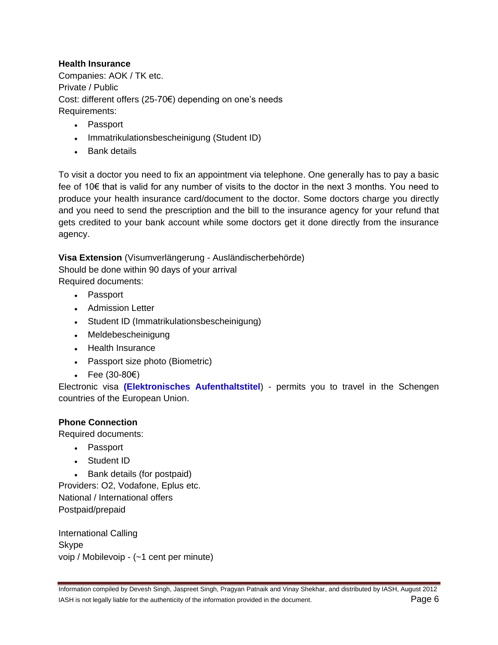## **Health Insurance**

Companies: AOK / TK etc. Private / Public Cost: different offers (25-70€) depending on one's needs Requirements:

- Passport
- Immatrikulationsbescheinigung (Student ID)
- Bank details

To visit a doctor you need to fix an appointment via telephone. One generally has to pay a basic fee of 10€ that is valid for any number of visits to the doctor in the next 3 months. You need to produce your health insurance card/document to the doctor. Some doctors charge you directly and you need to send the prescription and the bill to the insurance agency for your refund that gets credited to your bank account while some doctors get it done directly from the insurance agency.

**Visa Extension** (Visumverlängerung - Ausländischerbehörde) Should be done within 90 days of your arrival

Required documents:

- Passport
- Admission Letter
- Student ID (Immatrikulationsbescheinigung)
- Meldebescheinigung
- Health Insurance
- Passport size photo (Biometric)
- Fee (30-80 $\varepsilon$ )

Electronic visa **(Elektronisches Aufenthaltstitel**) - permits you to travel in the Schengen countries of the European Union.

#### **Phone Connection**

Required documents:

- Passport
- Student ID

• Bank details (for postpaid) Providers: O2, Vodafone, Eplus etc. National / International offers Postpaid/prepaid

International Calling Skype voip / Mobilevoip - (~1 cent per minute)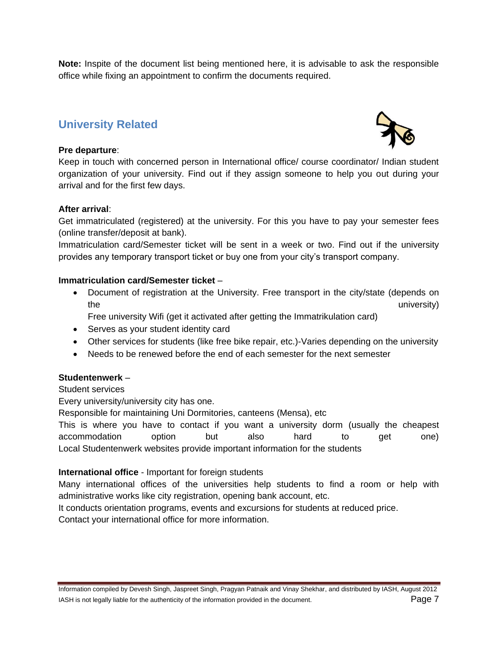**Note:** Inspite of the document list being mentioned here, it is advisable to ask the responsible office while fixing an appointment to confirm the documents required.

## **University Related**

#### **Pre departure**:



Keep in touch with concerned person in International office/ course coordinator/ Indian student organization of your university. Find out if they assign someone to help you out during your arrival and for the first few days.

#### **After arrival**:

Get immatriculated (registered) at the university. For this you have to pay your semester fees (online transfer/deposit at bank).

Immatriculation card/Semester ticket will be sent in a week or two. Find out if the university provides any temporary transport ticket or buy one from your city's transport company.

#### **Immatriculation card/Semester ticket** –

 Document of registration at the University. Free transport in the city/state (depends on the university) and the university of the university of the university of the university of the university of the university of the university of the university of the university of the university of the university of the

Free university Wifi (get it activated after getting the Immatrikulation card)

- Serves as your student identity card
- Other services for students (like free bike repair, etc.)-Varies depending on the university
- Needs to be renewed before the end of each semester for the next semester

#### **Studentenwerk** –

Student services

Every university/university city has one.

Responsible for maintaining Uni Dormitories, canteens (Mensa), etc

This is where you have to contact if you want a university dorm (usually the cheapest accommodation option but also hard to get one) Local Studentenwerk websites provide important information for the students

#### **International office** - Important for foreign students

Many international offices of the universities help students to find a room or help with administrative works like city registration, opening bank account, etc.

It conducts orientation programs, events and excursions for students at reduced price. Contact your international office for more information.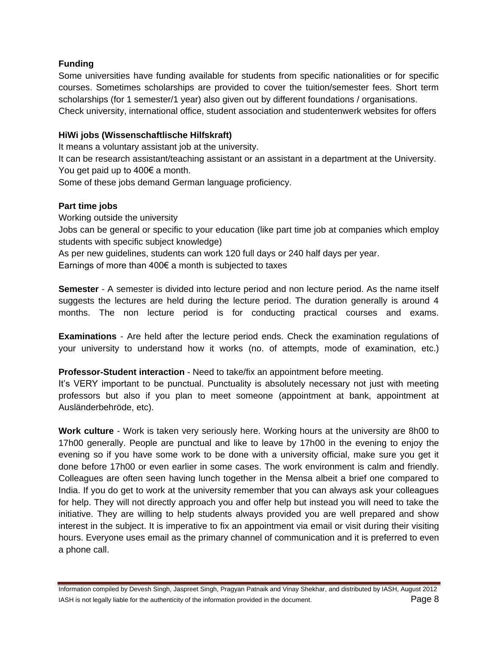## **Funding**

Some universities have funding available for students from specific nationalities or for specific courses. Sometimes scholarships are provided to cover the tuition/semester fees. Short term scholarships (for 1 semester/1 year) also given out by different foundations / organisations. Check university, international office, student association and studentenwerk websites for offers

#### **HiWi jobs (Wissenschaftlische Hilfskraft)**

It means a voluntary assistant job at the university.

It can be research assistant/teaching assistant or an assistant in a department at the University. You get paid up to 400€ a month.

Some of these jobs demand German language proficiency.

## **Part time jobs**

Working outside the university Jobs can be general or specific to your education (like part time job at companies which employ students with specific subject knowledge)

As per new guidelines, students can work 120 full days or 240 half days per year.

Earnings of more than 400€ a month is subjected to taxes

**Semester** - A semester is divided into lecture period and non lecture period. As the name itself suggests the lectures are held during the lecture period. The duration generally is around 4 months. The non lecture period is for conducting practical courses and exams.

**Examinations** - Are held after the lecture period ends. Check the examination regulations of your university to understand how it works (no. of attempts, mode of examination, etc.)

#### **Professor-Student interaction** - Need to take/fix an appointment before meeting.

It's VERY important to be punctual. Punctuality is absolutely necessary not just with meeting professors but also if you plan to meet someone (appointment at bank, appointment at Ausländerbehröde, etc).

**Work culture** - Work is taken very seriously here. Working hours at the university are 8h00 to 17h00 generally. People are punctual and like to leave by 17h00 in the evening to enjoy the evening so if you have some work to be done with a university official, make sure you get it done before 17h00 or even earlier in some cases. The work environment is calm and friendly. Colleagues are often seen having lunch together in the Mensa albeit a brief one compared to India. If you do get to work at the university remember that you can always ask your colleagues for help. They will not directly approach you and offer help but instead you will need to take the initiative. They are willing to help students always provided you are well prepared and show interest in the subject. It is imperative to fix an appointment via email or visit during their visiting hours. Everyone uses email as the primary channel of communication and it is preferred to even a phone call.

Information compiled by Devesh Singh, Jaspreet Singh, Pragyan Patnaik and Vinay Shekhar, and distributed by IASH, August 2012 IASH is not legally liable for the authenticity of the information provided in the document. Page 8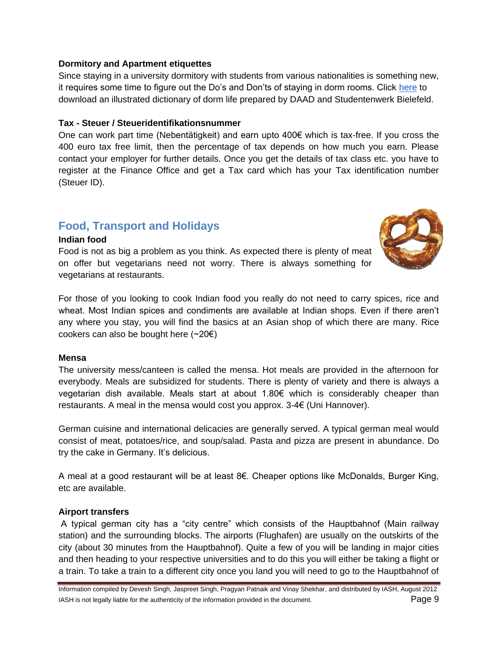#### **Dormitory and Apartment etiquettes**

Since staying in a university dormitory with students from various nationalities is something new, it requires some time to figure out the Do's and Don'ts of staying in dorm rooms. Click [here](http://www.studentenwerkbielefeld.de/fileadmin/inhalt/PDF/11_09_08_Illustriertes_Wohnheimwoerterbuch_AuflBi_2_geringe_Aufloesung_Kopie.pdf) to download an illustrated dictionary of dorm life prepared by DAAD and Studentenwerk Bielefeld.

## **Tax - Steuer / Steueridentifikationsnummer**

One can work part time (Nebentätigkeit) and earn upto 400€ which is tax-free. If you cross the 400 euro tax free limit, then the percentage of tax depends on how much you earn. Please contact your employer for further details. Once you get the details of tax class etc. you have to register at the Finance Office and get a Tax card which has your Tax identification number (Steuer ID).

## **Food, Transport and Holidays**

#### **Indian food**

Food is not as big a problem as you think. As expected there is plenty of meat on offer but vegetarians need not worry. There is always something for vegetarians at restaurants.



For those of you looking to cook Indian food you really do not need to carry spices, rice and wheat. Most Indian spices and condiments are available at Indian shops. Even if there aren't any where you stay, you will find the basics at an Asian shop of which there are many. Rice cookers can also be bought here  $(\sim 20 \epsilon)$ 

#### **Mensa**

The university mess/canteen is called the mensa. Hot meals are provided in the afternoon for everybody. Meals are subsidized for students. There is plenty of variety and there is always a vegetarian dish available. Meals start at about 1.80€ which is considerably cheaper than restaurants. A meal in the mensa would cost you approx. 3-4€ (Uni Hannover).

German cuisine and international delicacies are generally served. A typical german meal would consist of meat, potatoes/rice, and soup/salad. Pasta and pizza are present in abundance. Do try the cake in Germany. It's delicious.

A meal at a good restaurant will be at least 8€. Cheaper options like McDonalds, Burger King, etc are available.

#### **Airport transfers**

A typical german city has a "city centre" which consists of the Hauptbahnof (Main railway station) and the surrounding blocks. The airports (Flughafen) are usually on the outskirts of the city (about 30 minutes from the Hauptbahnof). Quite a few of you will be landing in major cities and then heading to your respective universities and to do this you will either be taking a flight or a train. To take a train to a different city once you land you will need to go to the Hauptbahnof of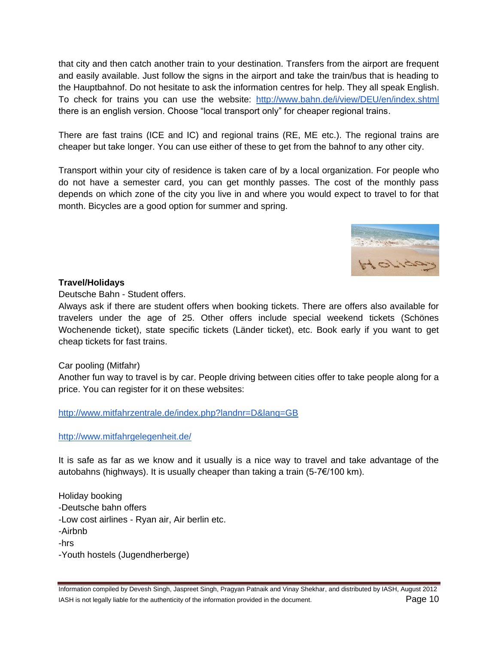that city and then catch another train to your destination. Transfers from the airport are frequent and easily available. Just follow the signs in the airport and take the train/bus that is heading to the Hauptbahnof. Do not hesitate to ask the information centres for help. They all speak English. To check for trains you can use the website: <http://www.bahn.de/i/view/DEU/en/index.shtml> there is an english version. Choose "local transport only" for cheaper regional trains.

There are fast trains (ICE and IC) and regional trains (RE, ME etc.). The regional trains are cheaper but take longer. You can use either of these to get from the bahnof to any other city.

Transport within your city of residence is taken care of by a local organization. For people who do not have a semester card, you can get monthly passes. The cost of the monthly pass depends on which zone of the city you live in and where you would expect to travel to for that month. Bicycles are a good option for summer and spring.



#### **Travel/Holidays**

Deutsche Bahn - Student offers.

Always ask if there are student offers when booking tickets. There are offers also available for travelers under the age of 25. Other offers include special weekend tickets (Schönes Wochenende ticket), state specific tickets (Länder ticket), etc. Book early if you want to get cheap tickets for fast trains.

#### Car pooling (Mitfahr)

Another fun way to travel is by car. People driving between cities offer to take people along for a price. You can register for it on these websites:

<http://www.mitfahrzentrale.de/index.php?landnr=D&lang=GB>

<http://www.mitfahrgelegenheit.de/>

It is safe as far as we know and it usually is a nice way to travel and take advantage of the autobahns (highways). It is usually cheaper than taking a train (5-7€/100 km).

Holiday booking -Deutsche bahn offers -Low cost airlines - Ryan air, Air berlin etc. -Airbnb -hrs -Youth hostels (Jugendherberge)